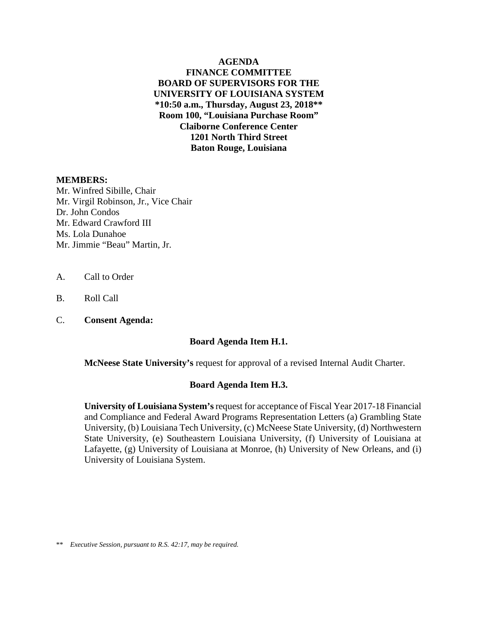**AGENDA FINANCE COMMITTEE BOARD OF SUPERVISORS FOR THE UNIVERSITY OF LOUISIANA SYSTEM \*10:50 a.m., Thursday, August 23, 2018\*\* Room 100, "Louisiana Purchase Room" Claiborne Conference Center 1201 North Third Street Baton Rouge, Louisiana**

#### **MEMBERS:**

Mr. Winfred Sibille, Chair Mr. Virgil Robinson, Jr., Vice Chair Dr. John Condos Mr. Edward Crawford III Ms. Lola Dunahoe Mr. Jimmie "Beau" Martin, Jr.

- A. Call to Order
- B. Roll Call
- C. **Consent Agenda:**

#### **Board Agenda Item H.1.**

**McNeese State University's** [request for approval of a revised Internal Audit Charter.](#page-2-0) 

#### **Board Agenda Item H.3.**

**University of Louisiana System's**request for acceptance of Fiscal Year 2017-18 Financial and Compliance and Federal Award Programs Representation Letters (a) Grambling State [University, \(b\) Louisiana Tech University, \(c\) McNeese State University, \(d\) Northwestern](#page-10-0)  State University, (e) Southeastern Louisiana University, (f) University of Louisiana at Lafayette, (g) University of Louisiana at Monroe, (h) University of New Orleans, and (i) University of Louisiana System.

\*\* *Executive Session, pursuant to R.S. 42:17, may be required.*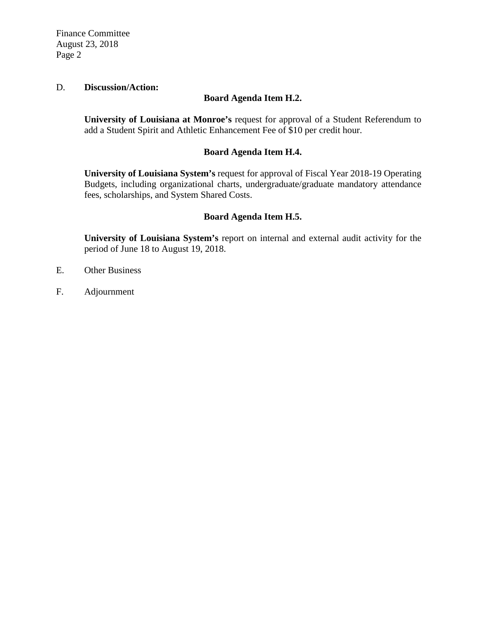Finance Committee August 23, 2018 Page 2

#### D. **Discussion/Action:**

#### **Board Agenda Item H.2.**

**University of Louisiana at Monroe's** request for approval of a Student Referendum to [add a Student Spirit and Athletic Enhancement Fee of \\$10 per credit hour.](#page-12-0) 

#### **Board Agenda Item H.4.**

**University of Louisiana System's** request for approval of Fiscal Year 2018-19 Operating [Budgets, including organizational charts, undergraduate/graduate mandatory attendance](#page-18-0)  fees, scholarships, and System Shared Costs.

#### **Board Agenda Item H.5.**

**University of Louisiana System's** [report on internal and external audit activity for the](#page-19-0)  period of June 18 to August 19, 2018.

- E. Other Business
- F. Adjournment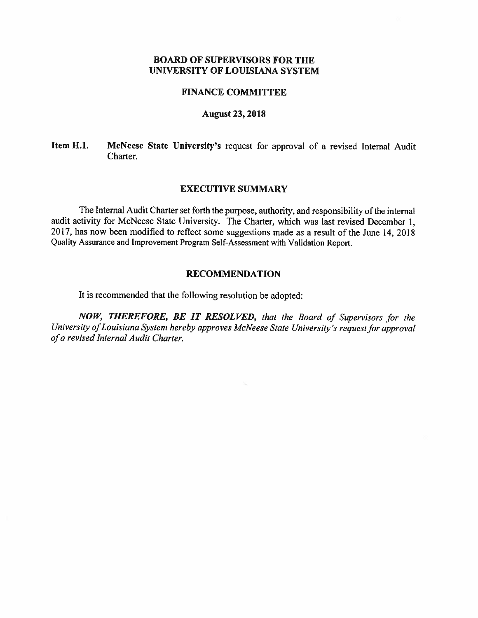#### **FINANCE COMMITTEE**

#### **August 23, 2018**

#### McNeese State University's request for approval of a revised Internal Audit Item H.1. Charter.

#### **EXECUTIVE SUMMARY**

The Internal Audit Charter set forth the purpose, authority, and responsibility of the internal audit activity for McNeese State University. The Charter, which was last revised December 1, 2017, has now been modified to reflect some suggestions made as a result of the June 14, 2018 Quality Assurance and Improvement Program Self-Assessment with Validation Report.

#### **RECOMMENDATION**

It is recommended that the following resolution be adopted:

NOW, THEREFORE, BE IT RESOLVED, that the Board of Supervisors for the University of Louisiana System hereby approves McNeese State University's request for approval of a revised Internal Audit Charter.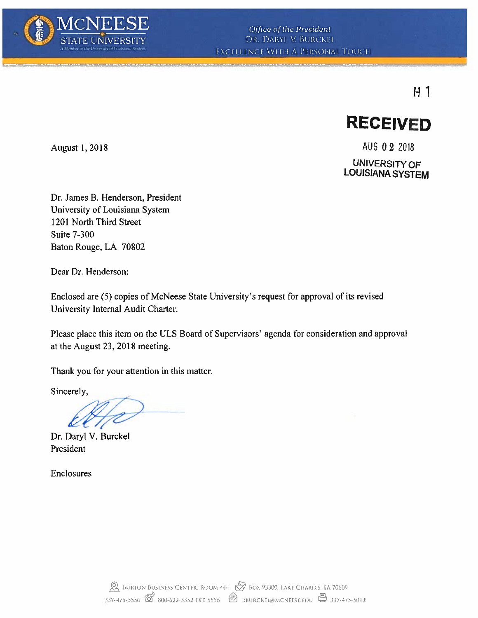

## $H1$



August 1, 2018

AUG 0 2 2018 **UNIVERSITY OF LOUISIANA SYSTEM** 

Dr. James B. Henderson, President University of Louisiana System 1201 North Third Street **Suite 7-300** Baton Rouge, LA 70802

Dear Dr. Henderson:

Enclosed are (5) copies of McNeese State University's request for approval of its revised University Internal Audit Charter.

Please place this item on the ULS Board of Supervisors' agenda for consideration and approval at the August 23, 2018 meeting.

Thank you for your attention in this matter.

Sincerely,

Dr. Daryl V. Burckel President

Enclosures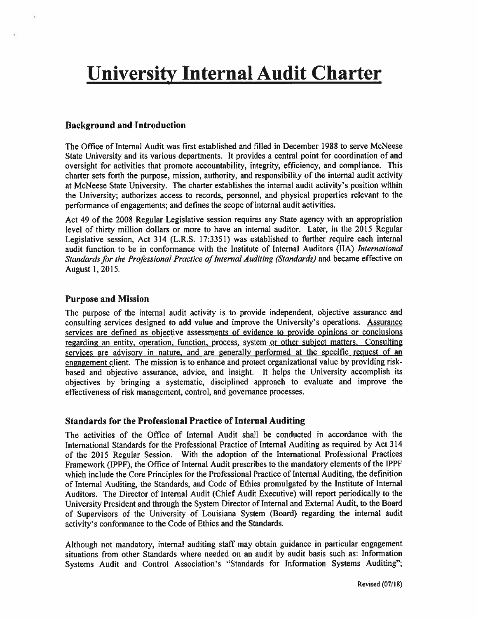## **University Internal Audit Charter**

#### **Background and Introduction**

The Office of Internal Audit was first established and filled in December 1988 to serve McNeese State University and its various departments. It provides a central point for coordination of and oversight for activities that promote accountability, integrity, efficiency, and compliance. This charter sets forth the purpose, mission, authority, and responsibility of the internal audit activity at McNeese State University. The charter establishes the internal audit activity's position within the University; authorizes access to records, personnel, and physical properties relevant to the performance of engagements; and defines the scope of internal audit activities.

Act 49 of the 2008 Regular Legislative session requires any State agency with an appropriation level of thirty million dollars or more to have an internal auditor. Later, in the 2015 Regular Legislative session, Act 314 (L.R.S. 17:3351) was established to further require each internal audit function to be in conformance with the Institute of Internal Auditors (IIA) International Standards for the Professional Practice of Internal Auditing (Standards) and became effective on August 1, 2015.

#### **Purpose and Mission**

The purpose of the internal audit activity is to provide independent, objective assurance and consulting services designed to add value and improve the University's operations. Assurance services are defined as objective assessments of evidence to provide opinions or conclusions regarding an entity, operation, function, process, system or other subject matters. Consulting services are advisory in nature, and are generally performed at the specific request of an engagement client. The mission is to enhance and protect organizational value by providing riskbased and objective assurance, advice, and insight. It helps the University accomplish its objectives by bringing a systematic, disciplined approach to evaluate and improve the effectiveness of risk management, control, and governance processes.

#### **Standards for the Professional Practice of Internal Auditing**

The activities of the Office of Internal Audit shall be conducted in accordance with the International Standards for the Professional Practice of Internal Auditing as required by Act 314 of the 2015 Regular Session. With the adoption of the International Professional Practices Framework (IPPF), the Office of Internal Audit prescribes to the mandatory elements of the IPPF which include the Core Principles for the Professional Practice of Internal Auditing, the definition of Internal Auditing, the Standards, and Code of Ethics promulgated by the Institute of Internal Auditors. The Director of Internal Audit (Chief Audit Executive) will report periodically to the University President and through the System Director of Internal and External Audit, to the Board of Supervisors of the University of Louisiana System (Board) regarding the internal audit activity's conformance to the Code of Ethics and the Standards.

Although not mandatory, internal auditing staff may obtain guidance in particular engagement situations from other Standards where needed on an audit by audit basis such as: Information Systems Audit and Control Association's "Standards for Information Systems Auditing";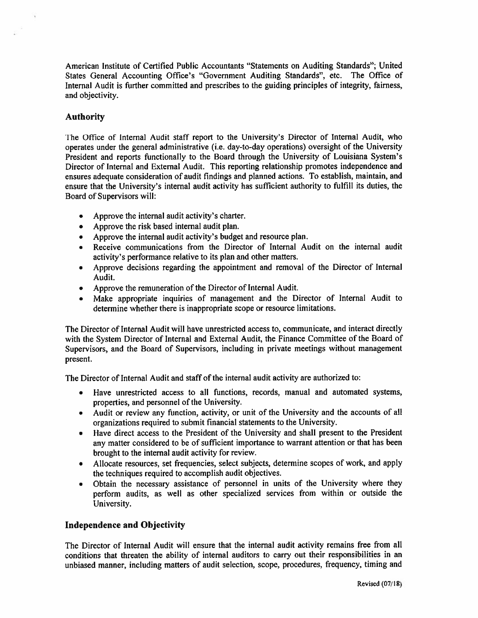American Institute of Certified Public Accountants "Statements on Auditing Standards"; United States General Accounting Office's "Government Auditing Standards", etc. The Office of Internal Audit is further committed and prescribes to the guiding principles of integrity, fairness, and objectivity.

#### **Authority**

The Office of Internal Audit staff report to the University's Director of Internal Audit, who operates under the general administrative (i.e. day-to-day operations) oversight of the University President and reports functionally to the Board through the University of Louisiana System's Director of Internal and External Audit. This reporting relationship promotes independence and ensures adequate consideration of audit findings and planned actions. To establish, maintain, and ensure that the University's internal audit activity has sufficient authority to fulfill its duties, the Board of Supervisors will:

- Approve the internal audit activity's charter.  $\bullet$
- Approve the risk based internal audit plan.
- Approve the internal audit activity's budget and resource plan.
- Receive communications from the Director of Internal Audit on the internal audit activity's performance relative to its plan and other matters.
- Approve decisions regarding the appointment and removal of the Director of Internal  $\bullet$ Audit.
- Approve the remuneration of the Director of Internal Audit.
- Make appropriate inquiries of management and the Director of Internal Audit to  $\bullet$ determine whether there is inappropriate scope or resource limitations.

The Director of Internal Audit will have unrestricted access to, communicate, and interact directly with the System Director of Internal and External Audit, the Finance Committee of the Board of Supervisors, and the Board of Supervisors, including in private meetings without management present.

The Director of Internal Audit and staff of the internal audit activity are authorized to:

- Have unrestricted access to all functions, records, manual and automated systems, properties, and personnel of the University.
- Audit or review any function, activity, or unit of the University and the accounts of all organizations required to submit financial statements to the University.
- Have direct access to the President of the University and shall present to the President  $\bullet$ any matter considered to be of sufficient importance to warrant attention or that has been brought to the internal audit activity for review.
- Allocate resources, set frequencies, select subjects, determine scopes of work, and apply the techniques required to accomplish audit objectives.
- Obtain the necessary assistance of personnel in units of the University where they perform audits, as well as other specialized services from within or outside the University.

#### **Independence and Objectivity**

The Director of Internal Audit will ensure that the internal audit activity remains free from all conditions that threaten the ability of internal auditors to carry out their responsibilities in an unbiased manner, including matters of audit selection, scope, procedures, frequency, timing and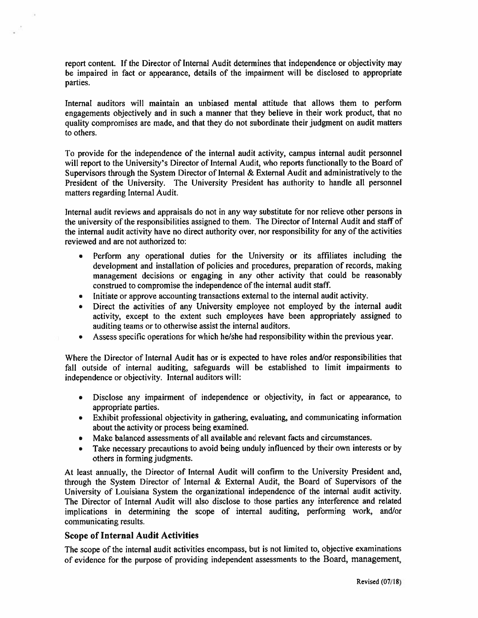report content. If the Director of Internal Audit determines that independence or objectivity may be impaired in fact or appearance, details of the impairment will be disclosed to appropriate parties.

Internal auditors will maintain an unbiased mental attitude that allows them to perform engagements objectively and in such a manner that they believe in their work product, that no quality compromises are made, and that they do not subordinate their judgment on audit matters to others.

To provide for the independence of the internal audit activity, campus internal audit personnel will report to the University's Director of Internal Audit, who reports functionally to the Board of Supervisors through the System Director of Internal & External Audit and administratively to the President of the University. The University President has authority to handle all personnel matters regarding Internal Audit.

Internal audit reviews and appraisals do not in any way substitute for nor relieve other persons in the university of the responsibilities assigned to them. The Director of Internal Audit and staff of the internal audit activity have no direct authority over, nor responsibility for any of the activities reviewed and are not authorized to:

- Perform any operational duties for the University or its affiliates including the development and installation of policies and procedures, preparation of records, making management decisions or engaging in any other activity that could be reasonably construed to compromise the independence of the internal audit staff.
- Initiate or approve accounting transactions external to the internal audit activity.
- Direct the activities of any University employee not employed by the internal audit  $\bullet$ activity, except to the extent such employees have been appropriately assigned to auditing teams or to otherwise assist the internal auditors.
- Assess specific operations for which he/she had responsibility within the previous year.  $\bullet$

Where the Director of Internal Audit has or is expected to have roles and/or responsibilities that fall outside of internal auditing, safeguards will be established to limit impairments to independence or objectivity. Internal auditors will:

- Disclose any impairment of independence or objectivity, in fact or appearance, to appropriate parties.
- Exhibit professional objectivity in gathering, evaluating, and communicating information about the activity or process being examined.
- Make balanced assessments of all available and relevant facts and circumstances.
- Take necessary precautions to avoid being unduly influenced by their own interests or by  $\bullet$ others in forming judgments.

At least annually, the Director of Internal Audit will confirm to the University President and, through the System Director of Internal & External Audit, the Board of Supervisors of the University of Louisiana System the organizational independence of the internal audit activity. The Director of Internal Audit will also disclose to those parties any interference and related implications in determining the scope of internal auditing, performing work, and/or communicating results.

#### **Scope of Internal Audit Activities**

The scope of the internal audit activities encompass, but is not limited to, objective examinations of evidence for the purpose of providing independent assessments to the Board, management,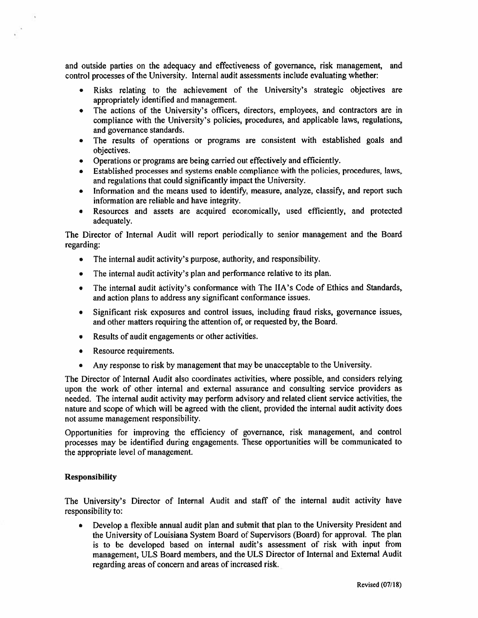and outside parties on the adequacy and effectiveness of governance, risk management, and control processes of the University. Internal audit assessments include evaluating whether:

- Risks relating to the achievement of the University's strategic objectives are appropriately identified and management.
- The actions of the University's officers, directors, employees, and contractors are in  $\bullet$ compliance with the University's policies, procedures, and applicable laws, regulations, and governance standards.
- The results of operations or programs are consistent with established goals and objectives.
- Operations or programs are being carried out effectively and efficiently.  $\bullet$
- Established processes and systems enable compliance with the policies, procedures, laws, and regulations that could significantly impact the University.
- Information and the means used to identify, measure, analyze, classify, and report such  $\bullet$ information are reliable and have integrity.
- Resources and assets are acquired economically, used efficiently, and protected  $\bullet$ adequately.

The Director of Internal Audit will report periodically to senior management and the Board regarding:

- The internal audit activity's purpose, authority, and responsibility.  $\bullet$
- The internal audit activity's plan and performance relative to its plan.
- The internal audit activity's conformance with The IIA's Code of Ethics and Standards, and action plans to address any significant conformance issues.
- Significant risk exposures and control issues, including fraud risks, governance issues,  $\bullet$ and other matters requiring the attention of, or requested by, the Board.
- Results of audit engagements or other activities.  $\bullet$
- Resource requirements.  $\bullet$
- Any response to risk by management that may be unacceptable to the University.  $\bullet$

The Director of Internal Audit also coordinates activities, where possible, and considers relying upon the work of other internal and external assurance and consulting service providers as needed. The internal audit activity may perform advisory and related client service activities, the nature and scope of which will be agreed with the client, provided the internal audit activity does not assume management responsibility.

Opportunities for improving the efficiency of governance, risk management, and control processes may be identified during engagements. These opportunities will be communicated to the appropriate level of management.

#### **Responsibility**

The University's Director of Internal Audit and staff of the internal audit activity have responsibility to:

Develop a flexible annual audit plan and submit that plan to the University President and the University of Louisiana System Board of Supervisors (Board) for approval. The plan is to be developed based on internal audit's assessment of risk with input from management, ULS Board members, and the ULS Director of Internal and External Audit regarding areas of concern and areas of increased risk.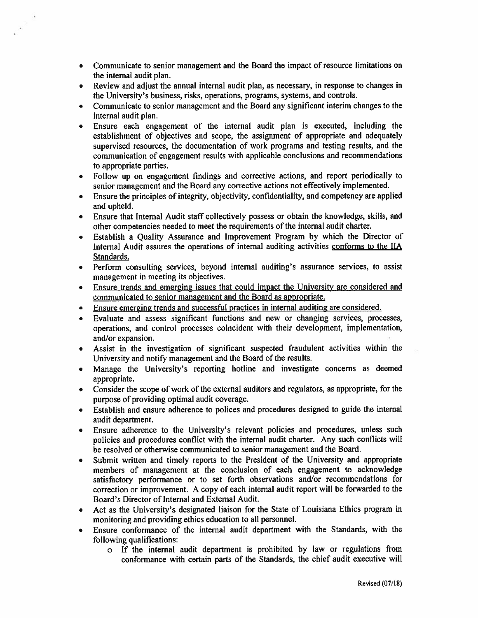- Communicate to senior management and the Board the impact of resource limitations on  $\bullet$ the internal audit plan.
- Review and adjust the annual internal audit plan, as necessary, in response to changes in  $\bullet$ the University's business, risks, operations, programs, systems, and controls.
- Communicate to senior management and the Board any significant interim changes to the internal audit plan.
- Ensure each engagement of the internal audit plan is executed, including the  $\bullet$ establishment of objectives and scope, the assignment of appropriate and adequately supervised resources, the documentation of work programs and testing results, and the communication of engagement results with applicable conclusions and recommendations to appropriate parties.
- Follow up on engagement findings and corrective actions, and report periodically to  $\bullet$ senior management and the Board any corrective actions not effectively implemented.
- Ensure the principles of integrity, objectivity, confidentiality, and competency are applied  $\bullet$ and upheld.
- Ensure that Internal Audit staff collectively possess or obtain the knowledge, skills, and other competencies needed to meet the requirements of the internal audit charter.
- Establish a Quality Assurance and Improvement Program by which the Director of  $\bullet$ Internal Audit assures the operations of internal auditing activities conforms to the IIA Standards.
- Perform consulting services, beyond internal auditing's assurance services, to assist  $\bullet$  . management in meeting its objectives.
- Ensure trends and emerging issues that could impact the University are considered and communicated to senior management and the Board as appropriate.
- Ensure emerging trends and successful practices in internal auditing are considered.
- Evaluate and assess significant functions and new or changing services, processes, operations, and control processes coincident with their development, implementation, and/or expansion.
- Assist in the investigation of significant suspected fraudulent activities within the  $\bullet$ University and notify management and the Board of the results.
- Manage the University's reporting hotline and investigate concerns as deemed appropriate.
- Consider the scope of work of the external auditors and regulators, as appropriate, for the purpose of providing optimal audit coverage.
- Establish and ensure adherence to polices and procedures designed to guide the internal  $\bullet$ audit department.
- Ensure adherence to the University's relevant policies and procedures, unless such policies and procedures conflict with the internal audit charter. Any such conflicts will be resolved or otherwise communicated to senior management and the Board.
- Submit written and timely reports to the President of the University and appropriate  $\bullet$ members of management at the conclusion of each engagement to acknowledge satisfactory performance or to set forth observations and/or recommendations for correction or improvement. A copy of each internal audit report will be forwarded to the Board's Director of Internal and External Audit.
- Act as the University's designated liaison for the State of Louisiana Ethics program in monitoring and providing ethics education to all personnel.
- Ensure conformance of the internal audit department with the Standards, with the  $\bullet$  . following qualifications:
	- o If the internal audit department is prohibited by law or regulations from conformance with certain parts of the Standards, the chief audit executive will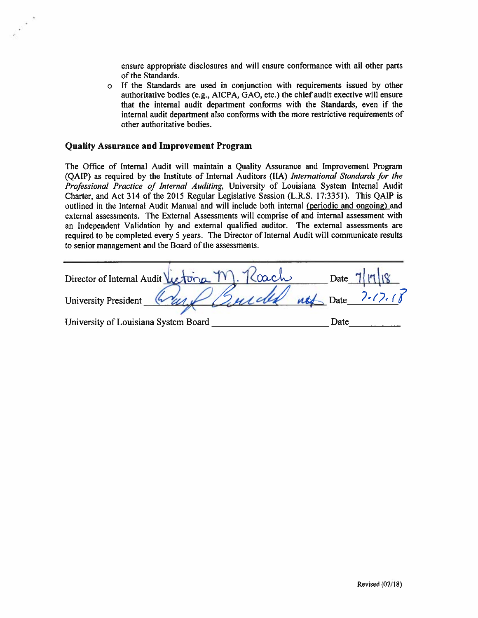ensure appropriate disclosures and will ensure conformance with all other parts of the Standards.

o If the Standards are used in conjunction with requirements issued by other authoritative bodies (e.g., AICPA, GAO, etc.) the chief audit exective will ensure that the internal audit department conforms with the Standards, even if the internal audit department also conforms with the more restrictive requirements of other authoritative bodies.

#### **Quality Assurance and Improvement Program**

The Office of Internal Audit will maintain a Quality Assurance and Improvement Program (QAIP) as required by the Institute of Internal Auditors (IIA) International Standards for the Professional Practice of Internal Auditing, University of Louisiana System Internal Audit Charter, and Act 314 of the 2015 Regular Legislative Session (L.R.S. 17:3351). This QAIP is outlined in the Internal Audit Manual and will include both internal (periodic and ongoing) and external assessments. The External Assessments will comprise of and internal assessment with an Independent Validation by and external qualified auditor. The external assessments are required to be completed every 5 years. The Director of Internal Audit will communicate results to senior management and the Board of the assessments.

| Director of Internal Audit Victoria M. Kach         |  |      | Date $7  1  18$ |
|-----------------------------------------------------|--|------|-----------------|
| University President Grund Burroll not Date 7-17.18 |  |      |                 |
| University of Louisiana System Board                |  | Date |                 |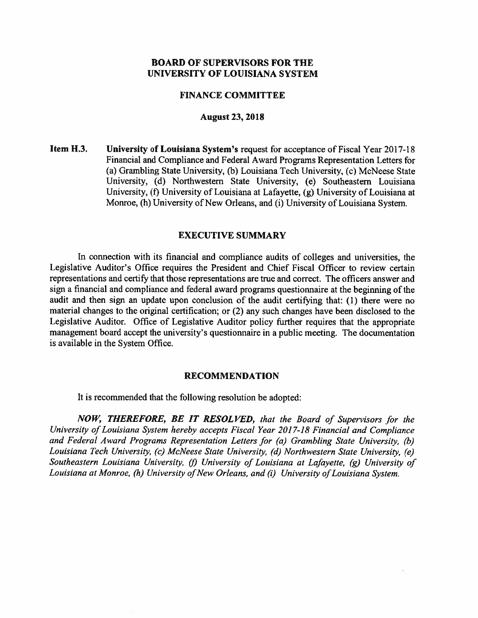#### **FINANCE COMMITTEE**

#### **August 23, 2018**

Item H.3. University of Louisiana System's request for acceptance of Fiscal Year 2017-18 Financial and Compliance and Federal Award Programs Representation Letters for (a) Grambling State University, (b) Louisiana Tech University, (c) McNeese State University, (d) Northwestern State University, (e) Southeastern Louisiana University, (f) University of Louisiana at Lafayette, (g) University of Louisiana at Monroe, (h) University of New Orleans, and (i) University of Louisiana System.

#### **EXECUTIVE SUMMARY**

In connection with its financial and compliance audits of colleges and universities, the Legislative Auditor's Office requires the President and Chief Fiscal Officer to review certain representations and certify that those representations are true and correct. The officers answer and sign a financial and compliance and federal award programs questionnaire at the beginning of the audit and then sign an update upon conclusion of the audit certifying that: (1) there were no material changes to the original certification; or (2) any such changes have been disclosed to the Legislative Auditor. Office of Legislative Auditor policy further requires that the appropriate management board accept the university's questionnaire in a public meeting. The documentation is available in the System Office.

#### **RECOMMENDATION**

It is recommended that the following resolution be adopted:

NOW, THEREFORE, BE IT RESOLVED, that the Board of Supervisors for the University of Louisiana System hereby accepts Fiscal Year 2017-18 Financial and Compliance and Federal Award Programs Representation Letters for (a) Grambling State University, (b) Louisiana Tech University, (c) McNeese State University, (d) Northwestern State University, (e) Southeastern Louisiana University, (f) University of Louisiana at Lafayette, (g) University of Louisiana at Monroe, (h) University of New Orleans, and (i) University of Louisiana System.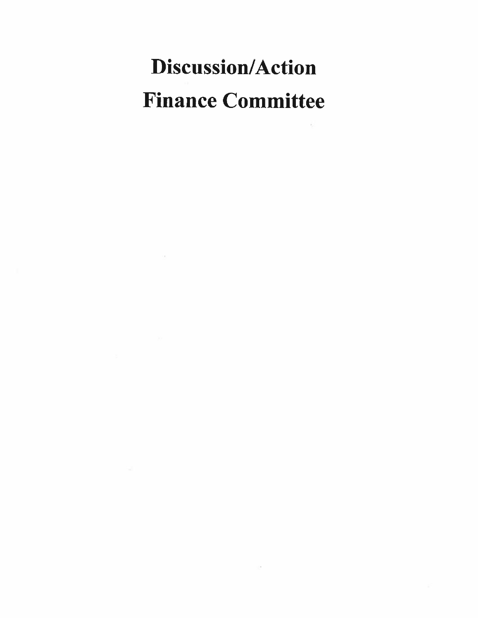# **Discussion/Action Finance Committee**

 $\sim$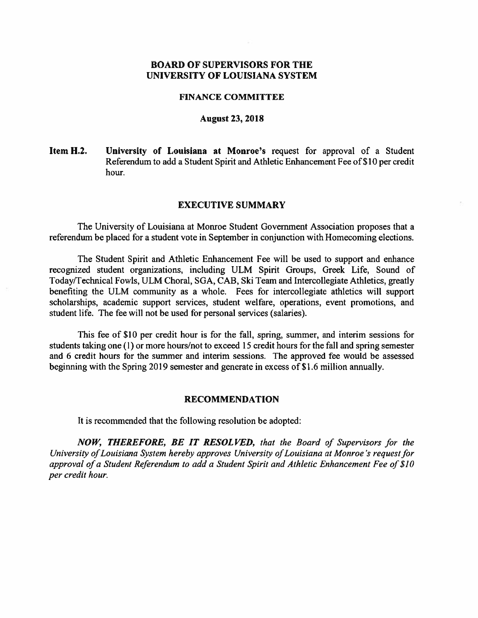#### **FINANCE COMMITTEE**

#### **August 23, 2018**

Item H.2. University of Louisiana at Monroe's request for approval of a Student Referendum to add a Student Spirit and Athletic Enhancement Fee of \$10 per credit hour.

#### **EXECUTIVE SUMMARY**

The University of Louisiana at Monroe Student Government Association proposes that a referendum be placed for a student vote in September in conjunction with Homecoming elections.

The Student Spirit and Athletic Enhancement Fee will be used to support and enhance recognized student organizations, including ULM Spirit Groups, Greek Life, Sound of Today/Technical Fowls, ULM Choral, SGA, CAB, Ski Team and Intercollegiate Athletics, greatly benefiting the ULM community as a whole. Fees for intercollegiate athletics will support scholarships, academic support services, student welfare, operations, event promotions, and student life. The fee will not be used for personal services (salaries).

This fee of \$10 per credit hour is for the fall, spring, summer, and interim sessions for students taking one (1) or more hours/not to exceed 15 credit hours for the fall and spring semester and 6 credit hours for the summer and interim sessions. The approved fee would be assessed beginning with the Spring 2019 semester and generate in excess of \$1.6 million annually.

#### **RECOMMENDATION**

It is recommended that the following resolution be adopted:

NOW, THEREFORE, BE IT RESOLVED, that the Board of Supervisors for the University of Louisiana System hereby approves University of Louisiana at Monroe's request for approval of a Student Referendum to add a Student Spirit and Athletic Enhancement Fee of \$10 per credit hour.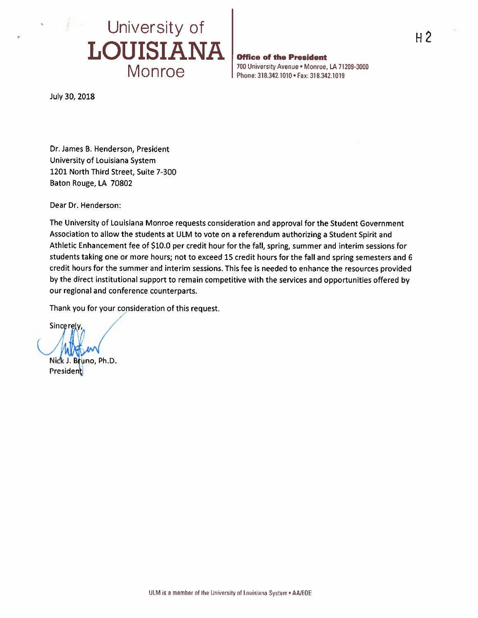

**Office of the President** 700 University Avenue . Monroe, LA 71209-3000 Phone: 318.342.1010 · Fax: 318.342.1019

July 30, 2018

Dr. James B. Henderson, President University of Louisiana System 1201 North Third Street, Suite 7-300 Baton Rouge, LA 70802

Dear Dr. Henderson:

The University of Louisiana Monroe requests consideration and approval for the Student Government Association to allow the students at ULM to vote on a referendum authorizing a Student Spirit and Athletic Enhancement fee of \$10.0 per credit hour for the fall, spring, summer and interim sessions for students taking one or more hours; not to exceed 15 credit hours for the fall and spring semesters and 6 credit hours for the summer and interim sessions. This fee is needed to enhance the resources provided by the direct institutional support to remain competitive with the services and opportunities offered by our regional and conference counterparts.

Thank you for your consideration of this request.

Sincerely,

Nick J. Bruno, Ph.D. President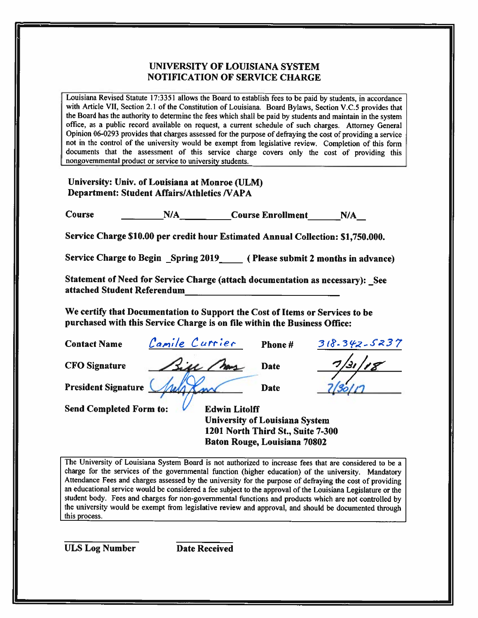#### **UNIVERSITY OF LOUISIANA SYSTEM NOTIFICATION OF SERVICE CHARGE**

Louisiana Revised Statute 17:3351 allows the Board to establish fees to be paid by students, in accordance with Article VII, Section 2.1 of the Constitution of Louisiana. Board Bylaws, Section V.C.5 provides that the Board has the authority to determine the fees which shall be paid by students and maintain in the system office, as a public record available on request, a current schedule of such charges. Attorney General Opinion 06-0293 provides that charges assessed for the purpose of defraying the cost of providing a service not in the control of the university would be exempt from legislative review. Completion of this form documents that the assessment of this service charge covers only the cost of providing this nongovernmental product or service to university students.

University: Univ. of Louisiana at Monroe (ULM) **Department: Student Affairs/Athletics /VAPA** 

N/A Course Enrollment N/A **Course** 

Service Charge \$10.00 per credit hour Estimated Annual Collection: \$1,750.000.

Service Charge to Begin Spring 2019 (Please submit 2 months in advance)

Statement of Need for Service Charge (attach documentation as necessary): See attached Student Referendum

We certify that Documentation to Support the Cost of Items or Services to be purchased with this Service Charge is on file within the Business Office:

| <b>Contact Name</b>            | Camile Currier | Phone#                                                        | $318.342 - 5237$ |
|--------------------------------|----------------|---------------------------------------------------------------|------------------|
| <b>CFO</b> Signature           | Sill May       | <b>Date</b>                                                   | 7/31/            |
| <b>President Signature</b>     |                | <b>Date</b>                                                   |                  |
| <b>Send Completed Form to:</b> |                | <b>Edwin Litolff</b><br><b>Hniversity of Lonisiana System</b> |                  |

1201 North Third St., Suite 7-300 Baton Rouge, Louisiana 70802

The University of Louisiana System Board is not authorized to increase fees that are considered to be a charge for the services of the governmental function (higher education) of the university. Mandatory Attendance Fees and charges assessed by the university for the purpose of defraying the cost of providing an educational service would be considered a fee subject to the approval of the Louisiana Legislature or the student body. Fees and charges for non-governmental functions and products which are not controlled by the university would be exempt from legislative review and approval, and should be documented through this process.

**ULS Log Number** 

**Date Received**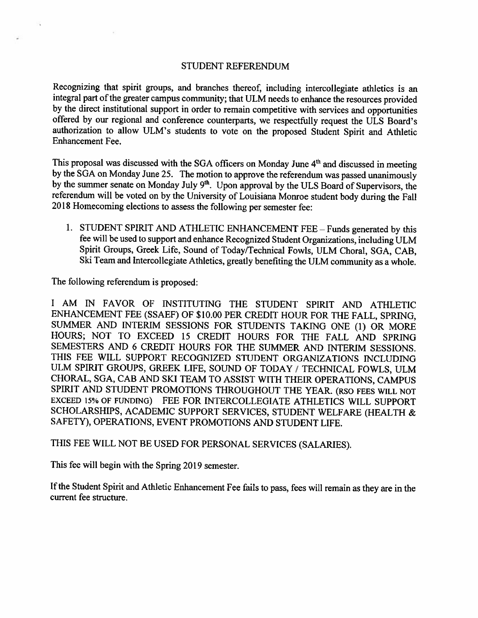#### **STUDENT REFERENDUM**

Recognizing that spirit groups, and branches thereof, including intercollegiate athletics is an integral part of the greater campus community; that ULM needs to enhance the resources provided by the direct institutional support in order to remain competitive with services and opportunities offered by our regional and conference counterparts, we respectfully request the ULS Board's authorization to allow ULM's students to vote on the proposed Student Spirit and Athletic **Enhancement Fee.** 

This proposal was discussed with the SGA officers on Monday June 4<sup>th</sup> and discussed in meeting by the SGA on Monday June 25. The motion to approve the referendum was passed unanimously by the summer senate on Monday July 9<sup>th</sup>. Upon approval by the ULS Board of Supervisors, the referendum will be voted on by the University of Louisiana Monroe student body during the Fall 2018 Homecoming elections to assess the following per semester fee:

1. STUDENT SPIRIT AND ATHLETIC ENHANCEMENT FEE - Funds generated by this fee will be used to support and enhance Recognized Student Organizations, including ULM Spirit Groups, Greek Life, Sound of Today/Technical Fowls, ULM Choral, SGA, CAB, Ski Team and Intercollegiate Athletics, greatly benefiting the ULM community as a whole.

The following referendum is proposed:

I AM IN FAVOR OF INSTITUTING THE STUDENT SPIRIT AND ATHLETIC ENHANCEMENT FEE (SSAEF) OF \$10.00 PER CREDIT HOUR FOR THE FALL, SPRING, SUMMER AND INTERIM SESSIONS FOR STUDENTS TAKING ONE (1) OR MORE HOURS; NOT TO EXCEED 15 CREDIT HOURS FOR THE FALL AND SPRING SEMESTERS AND 6 CREDIT HOURS FOR THE SUMMER AND INTERIM SESSIONS. THIS FEE WILL SUPPORT RECOGNIZED STUDENT ORGANIZATIONS INCLUDING ULM SPIRIT GROUPS, GREEK LIFE, SOUND OF TODAY / TECHNICAL FOWLS, ULM CHORAL, SGA, CAB AND SKI TEAM TO ASSIST WITH THEIR OPERATIONS, CAMPUS SPIRIT AND STUDENT PROMOTIONS THROUGHOUT THE YEAR. (RSO FEES WILL NOT EXCEED 15% OF FUNDING) FEE FOR INTERCOLLEGIATE ATHLETICS WILL SUPPORT SCHOLARSHIPS, ACADEMIC SUPPORT SERVICES, STUDENT WELFARE (HEALTH & SAFETY), OPERATIONS, EVENT PROMOTIONS AND STUDENT LIFE.

THIS FEE WILL NOT BE USED FOR PERSONAL SERVICES (SALARIES).

This fee will begin with the Spring 2019 semester.

If the Student Spirit and Athletic Enhancement Fee fails to pass, fees will remain as they are in the current fee structure.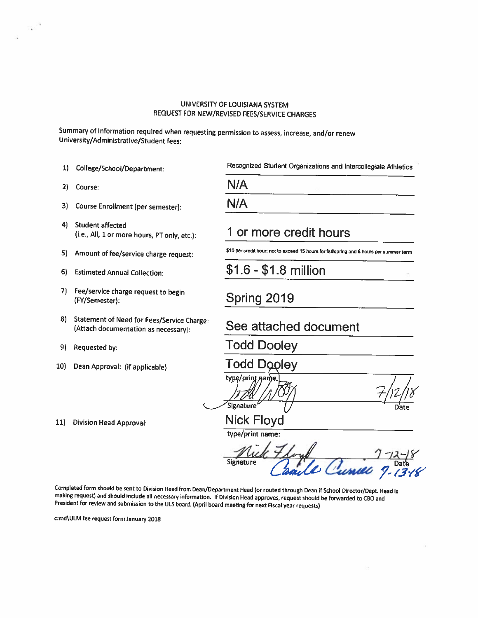#### UNIVERSITY OF LOUISIANA SYSTEM REQUEST FOR NEW/REVISED FEES/SERVICE CHARGES

Summary of Information required when requesting permission to assess, increase, and/or renew University/Administrative/Student fees:

- 1) College/School/Department:
- 2) Course:
- $3)$ Course Enrollment (per semester):
- 4) Student affected (i.e., All, 1 or more hours, PT only, etc.):
- 5) Amount of fee/service charge request:
- $6)$ **Estimated Annual Collection:**
- 7) Fee/service charge request to begin (FY/Semester):
- 8) Statement of Need for Fees/Service Charge: (Attach documentation as necessary):
- Requested by: 9)
- Dean Approval: (if applicable)  $10<sub>l</sub>$

11) Division Head Approval:

Recognized Student Organizations and Intercollegiate Athletics

| N/A |  |     |  |
|-----|--|-----|--|
| N/A |  | . . |  |

## 1 or more credit hours

\$10 per credit hour; not to exceed 15 hours for fall/spring and 6 hours per summer term

 $$1.6 - $1.8$  million

## Spring 2019

## See attached document

**Todd Dooley** 

**Todd Doolev** 

type/print name Signature<sup>6</sup>

**Nick Floyd** type/print name:

**Signature** 

Completed form should be sent to Division Head from Dean/Department Head (or routed through Dean if School Director/Dept. Head is making request) and should include all necessary information. If Division Head approves, request should be forwarded to CBO and President for review and submission to the ULS board. (April board meeting for next Fiscal year requests)

c:md\ULM fee request form January 2018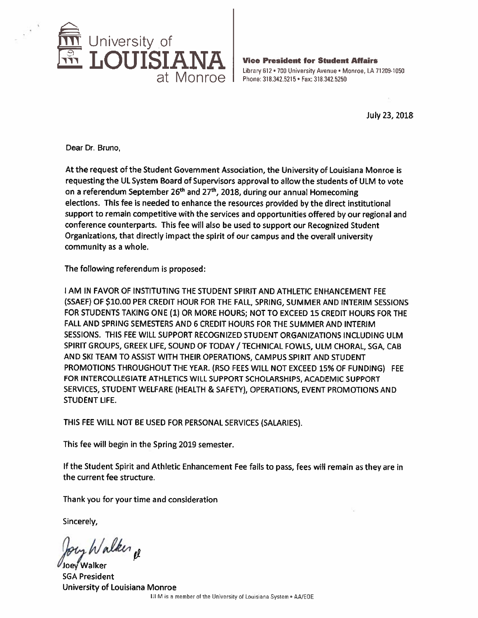

**Vice President for Student Affairs** Library 612 . 700 University Avenue . Monroe, LA 71209-1050 Phone: 318.342.5215 . Fax: 318.342.5250

July 23, 2018

Dear Dr. Bruno,

At the request of the Student Government Association, the University of Louisiana Monroe is requesting the UL System Board of Supervisors approval to allow the students of ULM to vote on a referendum September 26<sup>th</sup> and 27<sup>th</sup>, 2018, during our annual Homecoming elections. This fee is needed to enhance the resources provided by the direct institutional support to remain competitive with the services and opportunities offered by our regional and conference counterparts. This fee will also be used to support our Recognized Student Organizations, that directly impact the spirit of our campus and the overall university community as a whole.

The following referendum is proposed:

I AM IN FAVOR OF INSTITUTING THE STUDENT SPIRIT AND ATHLETIC ENHANCEMENT FEE (SSAEF) OF \$10.00 PER CREDIT HOUR FOR THE FALL, SPRING, SUMMER AND INTERIM SESSIONS FOR STUDENTS TAKING ONE (1) OR MORE HOURS; NOT TO EXCEED 15 CREDIT HOURS FOR THE FALL AND SPRING SEMESTERS AND 6 CREDIT HOURS FOR THE SUMMER AND INTERIM SESSIONS. THIS FEE WILL SUPPORT RECOGNIZED STUDENT ORGANIZATIONS INCLUDING ULM SPIRIT GROUPS, GREEK LIFE, SOUND OF TODAY / TECHNICAL FOWLS, ULM CHORAL, SGA, CAB AND SKI TEAM TO ASSIST WITH THEIR OPERATIONS, CAMPUS SPIRIT AND STUDENT PROMOTIONS THROUGHOUT THE YEAR. (RSO FEES WILL NOT EXCEED 15% OF FUNDING) FEE FOR INTERCOLLEGIATE ATHLETICS WILL SUPPORT SCHOLARSHIPS, ACADEMIC SUPPORT SERVICES, STUDENT WELFARE (HEALTH & SAFETY), OPERATIONS, EVENT PROMOTIONS AND **STUDENT LIFE.** 

THIS FEE WILL NOT BE USED FOR PERSONAL SERVICES (SALARIES).

This fee will begin in the Spring 2019 semester.

If the Student Spirit and Athletic Enhancement Fee fails to pass, fees will remain as they are in the current fee structure.

Thank you for your time and consideration

Sincerely,

Inev Walker **SGA President** University of Louisiana Monroe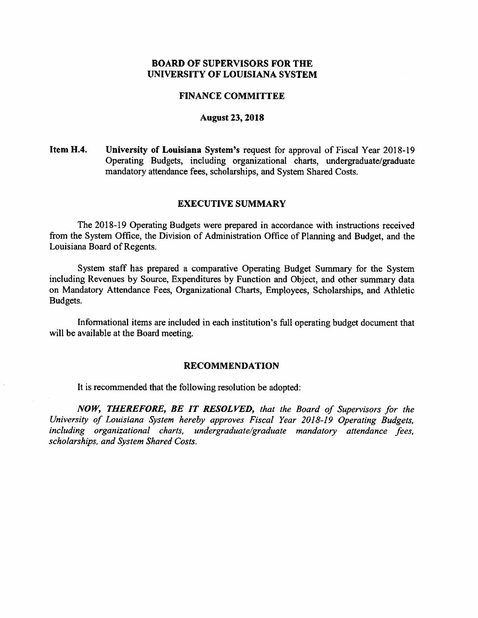#### **FINANCE COMMITTEE**

#### **August 23, 2018**

Item H.4. University of Louisiana System's request for approval of Fiscal Year 2018-19 Operating Budgets, including organizational charts, undergraduate/graduate mandatory attendance fees, scholarships, and System Shared Costs.

#### **EXECUTIVE SUMMARY**

The 2018-19 Operating Budgets were prepared in accordance with instructions received from the System Office, the Division of Administration Office of Planning and Budget, and the Louisiana Board of Regents.

System staff has prepared a comparative Operating Budget Summary for the System including Revenues by Source, Expenditures by Function and Object, and other summary data on Mandatory Attendance Fees, Organizational Charts, Employees, Scholarships, and Athletic Budgets.

Informational items are included in each institution's full operating budget document that will be available at the Board meeting.

#### **RECOMMENDATION**

It is recommended that the following resolution be adopted:

NOW, THEREFORE, BE IT RESOLVED, that the Board of Supervisors for the University of Louisiana System hereby approves Fiscal Year 2018-19 Operating Budgets, including organizational charts, undergraduate/graduate mandatory attendance fees, scholarships, and System Shared Costs.